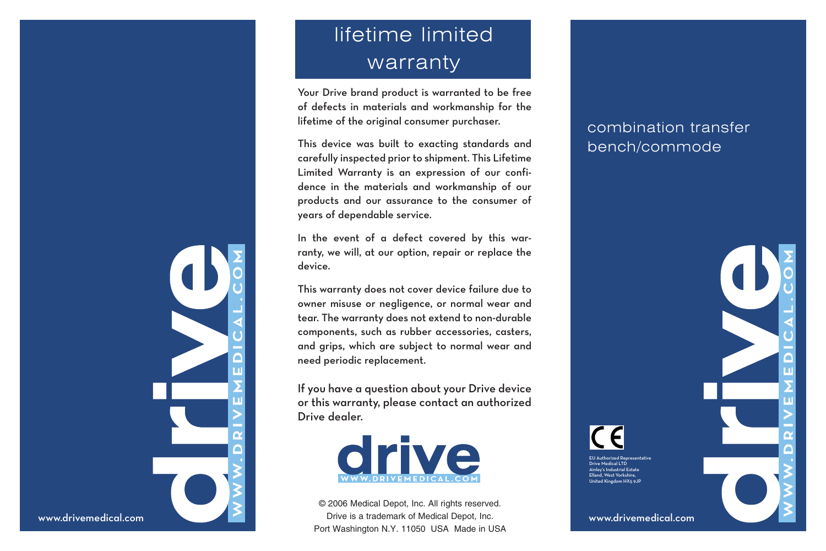# lifetime limited warranty

Your Drive brand product is warranted to be free of defects in materials and workmanship for the lifetime of the original consumer purchaser.

This device was built to exacting standards and carefully inspected prior to shipment. This Lifetime Limited Warranty is an expression of our confidence in the materials and workmanship of our products and our assurance to the consumer of years of dependable service.

In the event of a defect covered by this warranty, we will, at our option, repair or replace the device.

This warranty does not cover device failure due to owner misuse or negligence, or normal wear and tear. The warranty does not extend to non-durable components, such as rubber accessories, casters, and grips, which are subject to normal wear and need periodic replacement.

If you have a question about your Drive device or this warranty, please contact an authorized Drive dealer.



© 2006 Medical Depot, Inc. All rights reserved. Drive is a trademark of Medical Depot, Inc. Port Washington N.Y. 11050 USA Made in USA

## combination transfer bench/commode

www.drivemedical.com

rized Representative ive Medical LTD Ainley's Industrial Estate Elland, West Yorkshire, nited Kingdom HX5 9JP



www.drivemedical.com